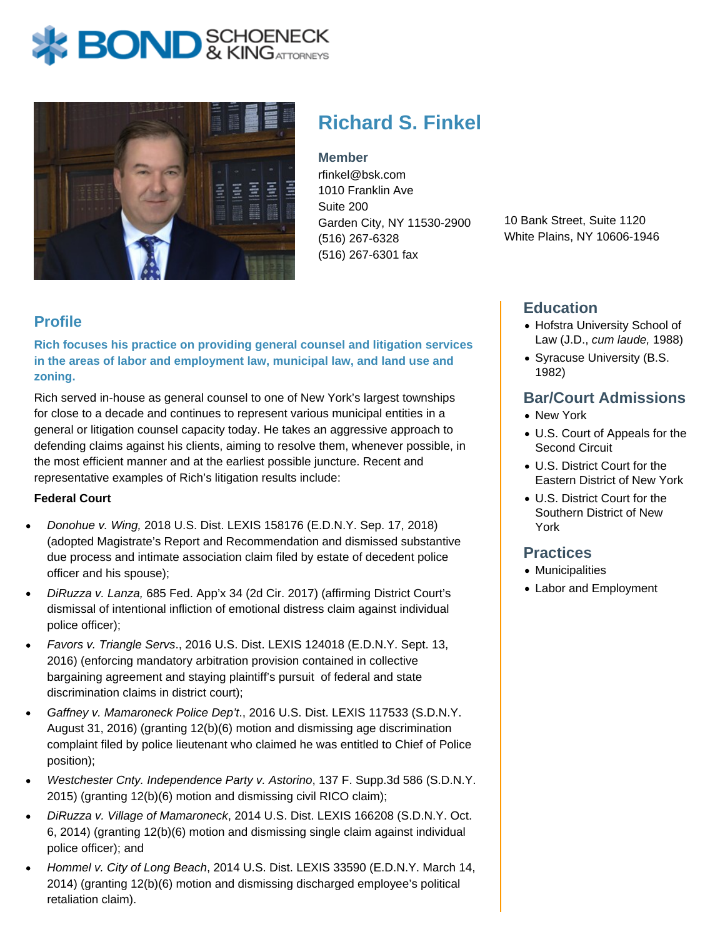



# **Richard S. Finkel**

**Member** rfinkel@bsk.com 1010 Franklin Ave Suite 200 Garden City, NY 11530-2900 (516) 267-6328 (516) 267-6301 fax

10 Bank Street, Suite 1120 White Plains, NY 10606-1946

## **Profile**

**Rich focuses his practice on providing general counsel and litigation services in the areas of labor and employment law, municipal law, and land use and zoning.** 

Rich served in-house as general counsel to one of New York's largest townships for close to a decade and continues to represent various municipal entities in a general or litigation counsel capacity today. He takes an aggressive approach to defending claims against his clients, aiming to resolve them, whenever possible, in the most efficient manner and at the earliest possible juncture. Recent and representative examples of Rich's litigation results include:

#### **Federal Court**

- Donohue v. Wing, 2018 U.S. Dist. LEXIS 158176 (E.D.N.Y. Sep. 17, 2018) (adopted Magistrate's Report and Recommendation and dismissed substantive due process and intimate association claim filed by estate of decedent police officer and his spouse);
- DiRuzza v. Lanza, 685 Fed. App'x 34 (2d Cir. 2017) (affirming District Court's dismissal of intentional infliction of emotional distress claim against individual police officer);
- Favors v. Triangle Servs., 2016 U.S. Dist. LEXIS 124018 (E.D.N.Y. Sept. 13, 2016) (enforcing mandatory arbitration provision contained in collective bargaining agreement and staying plaintiff's pursuit of federal and state discrimination claims in district court);
- Gaffney v. Mamaroneck Police Dep't., 2016 U.S. Dist. LEXIS 117533 (S.D.N.Y. August 31, 2016) (granting 12(b)(6) motion and dismissing age discrimination complaint filed by police lieutenant who claimed he was entitled to Chief of Police position);
- Westchester Cnty. Independence Party v. Astorino, 137 F. Supp.3d 586 (S.D.N.Y. 2015) (granting 12(b)(6) motion and dismissing civil RICO claim);
- DiRuzza v. Village of Mamaroneck, 2014 U.S. Dist. LEXIS 166208 (S.D.N.Y. Oct. 6, 2014) (granting 12(b)(6) motion and dismissing single claim against individual police officer); and
- Hommel v. City of Long Beach, 2014 U.S. Dist. LEXIS 33590 (E.D.N.Y. March 14, 2014) (granting 12(b)(6) motion and dismissing discharged employee's political retaliation claim).

## **Education**

- Hofstra University School of Law (J.D., cum laude, 1988)
- Syracuse University (B.S. 1982)

## **Bar/Court Admissions**

- New York
- U.S. Court of Appeals for the Second Circuit
- U.S. District Court for the Eastern District of New York
- U.S. District Court for the Southern District of New York

#### **Practices**

- Municipalities
- Labor and Employment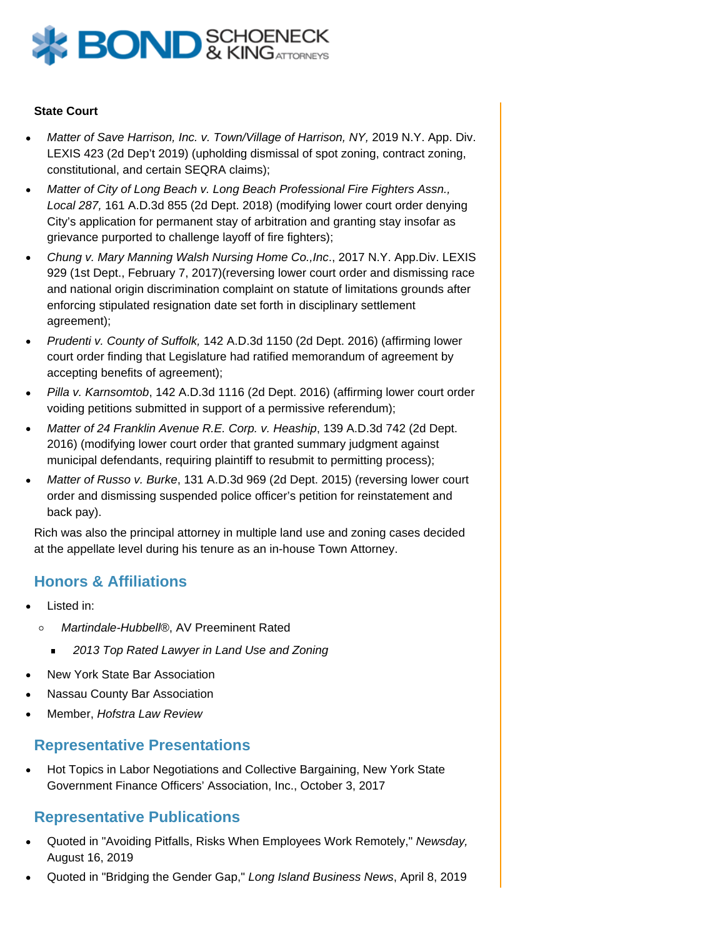

#### **State Court**

- Matter of Save Harrison, Inc. v. Town/Village of Harrison, NY, 2019 N.Y. App. Div. LEXIS 423 (2d Dep't 2019) (upholding dismissal of spot zoning, contract zoning, constitutional, and certain SEQRA claims);
- Matter of City of Long Beach v. Long Beach Professional Fire Fighters Assn., Local 287, 161 A.D.3d 855 (2d Dept. 2018) (modifying lower court order denying City's application for permanent stay of arbitration and granting stay insofar as grievance purported to challenge layoff of fire fighters);
- Chung v. Mary Manning Walsh Nursing Home Co.,Inc., 2017 N.Y. App.Div. LEXIS 929 (1st Dept., February 7, 2017)(reversing lower court order and dismissing race and national origin discrimination complaint on statute of limitations grounds after enforcing stipulated resignation date set forth in disciplinary settlement agreement);
- Prudenti v. County of Suffolk, 142 A.D.3d 1150 (2d Dept. 2016) (affirming lower court order finding that Legislature had ratified memorandum of agreement by accepting benefits of agreement);
- Pilla v. Karnsomtob, 142 A.D.3d 1116 (2d Dept. 2016) (affirming lower court order voiding petitions submitted in support of a permissive referendum);
- Matter of 24 Franklin Avenue R.E. Corp. v. Heaship, 139 A.D.3d 742 (2d Dept. 2016) (modifying lower court order that granted summary judgment against municipal defendants, requiring plaintiff to resubmit to permitting process);
- Matter of Russo v. Burke, 131 A.D.3d 969 (2d Dept. 2015) (reversing lower court order and dismissing suspended police officer's petition for reinstatement and back pay).

Rich was also the principal attorney in multiple land use and zoning cases decided at the appellate level during his tenure as an in-house Town Attorney.

# **Honors & Affiliations**

- Listed in:
	- $\circ$ Martindale-Hubbell®, AV Preeminent Rated
		- 2013 Top Rated Lawyer in Land Use and Zoning  $\blacksquare$
- New York State Bar Association
- Nassau County Bar Association
- Member, Hofstra Law Review

## **Representative Presentations**

Hot Topics in Labor Negotiations and Collective Bargaining, New York State Government Finance Officers' Association, Inc., October 3, 2017

## **Representative Publications**

- Quoted in "Avoiding Pitfalls, Risks When Employees Work Remotely," Newsday, August 16, 2019
- Quoted in "Bridging the Gender Gap," Long Island Business News, April 8, 2019